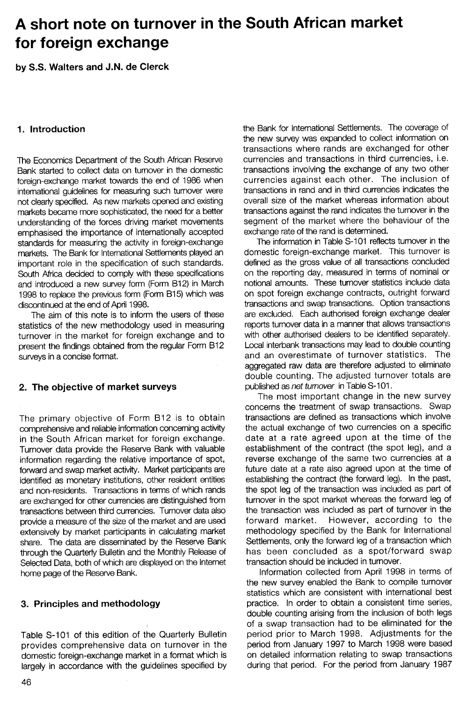# A short note on turnover in the South African market for foreign exchange

by 5.5. Walters and J.N. de Clerck

Bank started to collect data on tumover in the domestic transactions involving the exchange of any two other<br>foreign-exchange market towards the end of 1986 when currencies against each other. The inclusion of foreign-exchange market towards the end of 1986 when intemational guidelines for measuring such turnover were transactions in rand and in third currencies indicates the not clearly specified. As new markets opened and existing overall size of the market whereas information about markets became more sophisticated, the need for a better transactions against the rand indicates the turnover in the understanding of the forces driving market movements segment of the market where the behaviour of the emphasised the importance of internationally accepted exchange rate of the rand is determined. standards for measuring the activity in foreign-exchange The information in Table S-101 reflects turnover in the<br>markets. The Bank for International Settlements played an domestic foreign-exchange market. This turnover is markets. The Bank for International Settlements played an domestic foreign-exchange market. This turnover is<br>important role in the specification of such standards. defined as the gross value of all transactions concluded important role in the specification of such standards. defined as the gross value of all transactions concluded<br>South Africa decided to comply with these specifications on the reporting day, measured in terms of nominal or South Africa decided to comply with these specifications and introduced a new survey form (Form B12) in March notional amounts. These turnover statistics include data 1998 to replace the previous form (Form B15) which was on spot foreign exchange contracts, outright forward discontinued at the end of April 1998.

statistics of the new methodology used in measuring turnover in the market for foreign exchange and to with other authorised dealers to be identified separately. present the findings obtained from the regular Form B12 Local interbank transactions may lead to double counting surveys in a concise format. The surveys in a concise format.

comprehensive and reliable information concerning activity the actual exchange of two currencies on a specific in the South African market for foreign exchange. date at a rate agreed upon at the time of the Turnover data provide the Reserve Bank with valuable establishment of the contract (the spot leg), and a information regarding the relative importance of spot, reverse exchange of the same two currencies at a forward and swap market activity. Market participants are future date at a rate also agreed upon at the time of identified as monetary institutions, other resident entities establishing the contract (the forward leg). In the past, and non-residents. Transactions in terms of which rands the spot leg of the transaction was included as part of are exchanged for other currencies are distinguished from turnover in the spot market whereas the forward leg of transactions between third currencies. Tumover data also the transaction was included as part of turnover in the provide a measure of the size of the market and are used forward market. However, according to the extensively by market participants in calculating market methodology specified by the Bank for International share. The data are disseminated by the Reserve Bank Settlements, only the forward leg of a transaction which through the Quarterly Bulletin and the Monthly Release of has been concluded as a spot/forward swap Selected Data, both of which are displayed on the Internet transaction should be included in turnover. home page of the Reserve Bank. The Information collected from April 1998 in terms of

provides comprehensive data on turnover in the period from January 1997 to March 1998 were based domestic foreign-exchange market in a format which is on detailed information relating to swap transactions largely in accordance with the guidelines specified by during that period. For the period from January 1987

1. Introduction the Bank for International Settlements. The coverage of the new survey was expanded to collect information on transactions where rands are exchanged for other The Economics Department of the South African Reserve currencies and transactions in third currencies, i.e.

The aim of this note is to inform the users of these are excluded. Each authorised foreign exchange dealer<br>tistics of the new methodology used in measuring reports turnover data in a manner that allows transactions aggregated raw data are therefore adjusted to eliminate double counting. The adjusted turnover totals are 2. The objective of market surveys published as net turnover in Table S-101.

The most important change in the new survey concerns the treatment of swap transactions. Swap The primary objective of Form B12 is to obtain transactions are defined as transactions which involve

the new survey enabled the Bank to compile turnover statistics which are consistent with international best 3. Principles and methodology **practice.** In order to obtain a consistent time series, double counting arising from the inclusion of both legs of a swap transaction had to be eliminated for the Table S-101 of this edition of the Quarterly Bulletin period prior to March 1998. Adjustments for the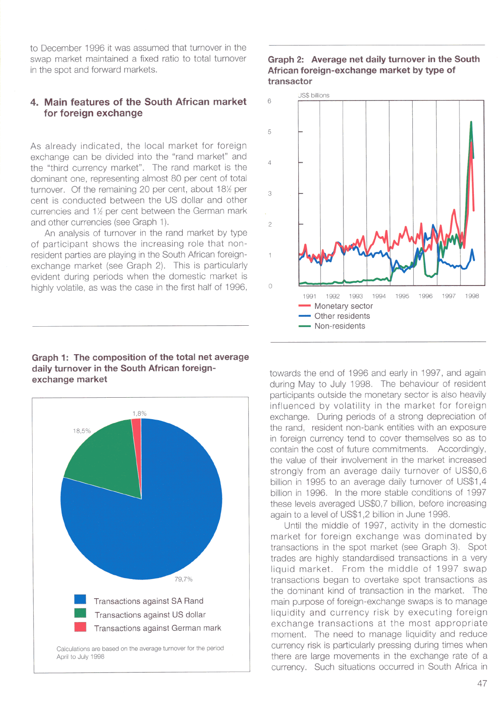to December 1996 it was assumed that turnover in the swap market maintained a fixed ratio to total turnover in the spot and forward markets.

## 4. Main features of the South African market for foreign exchange

As already indicated, the local market for foreign exchange can be divided into the "rand market" and the "third currency market". The rand market is the dominant one, representing almost 80 per cent of total turnover. Of the remaining 20 per cent, about 18½ per cent is conducted between the US dollar and other currencies and 1½ per cent between the German mark and other currencies (see Graph 1).

An analysis of turnover in the rand market by type of participant shows the increasing role that nonresident parties are playing in the South African foreignexchange market (see Graph 2). This is particularly evident during periods when the domestic market is highly volatile, as was the case in the first half of 1996,

### Graph 2: Average net daily turnover in the South African foreign-exchange market by type of transactor



### Graph 1: The composition of the total net average daily turnover in the South African foreignexchange market



April to July 1998

towards the end of 1996 and early in 1997, and again during May to July 1998. The behaviour of resident participants outside the monetary sector is also heavily influenced by volatility in the market for foreign exchange. During periods of a strong depreciation of the rand, resident non-bank entities with an exposure in foreign currency tend to cover themselves so as to contain the cost of future commitments. Accordingly, the value of their involvement in the market increased strongly from an average daily turnover of US\$0,6 billion in 1995 to an average daily turnover of US\$1,4 billion in 1996. In the more stable conditions of 1997 these levels averaged US\$0,7 billion, before increasing again to a level of US\$1,2 billion in June 1998.

Until the middle of 1997, activity in the domestic market for foreign exchange was dominated by transactions in the spot market (see Graph 3). Spot trades are highly standardised transactions in a very liquid market. From the middle of 1997 swap transactions began to overtake spot transactions as the dominant kind of transaction in the market. The main purpose of foreign-exchange swaps is to manage liquidity and currency risk by executing foreign exchange transactions at the most appropriate moment. The need to manage liquidity and reduce currency risk is particularly pressing during times when there are large movements in the exchange rate of a currency. Such situations occurred in South Africa in